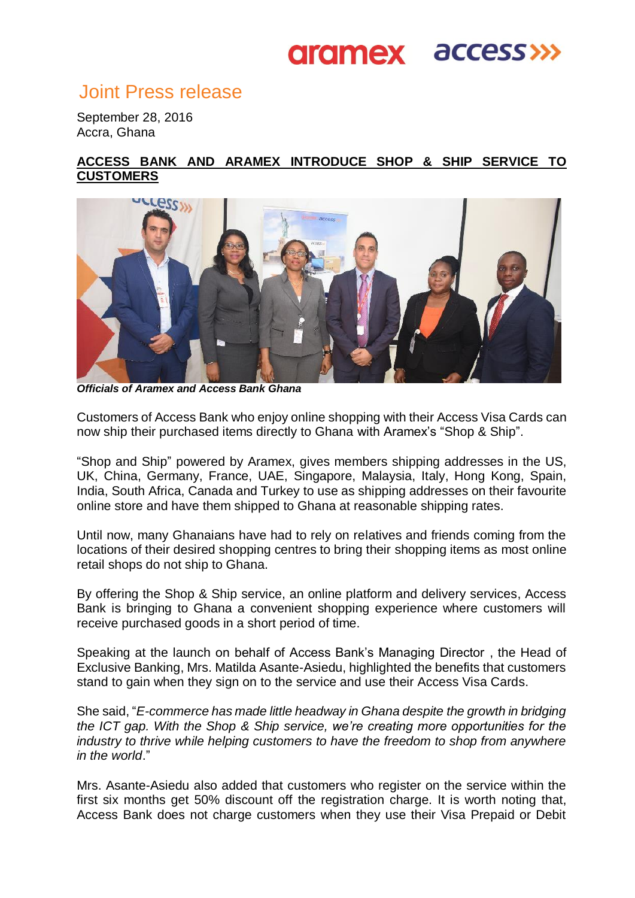## **aramex access>>>**

### Joint Press release

September 28, 2016 Accra, Ghana

### **ACCESS BANK AND ARAMEX INTRODUCE SHOP & SHIP SERVICE TO CUSTOMERS**



*Officials of Aramex and Access Bank Ghana* 

Customers of Access Bank who enjoy online shopping with their Access Visa Cards can now ship their purchased items directly to Ghana with Aramex's "Shop & Ship".

"Shop and Ship" powered by Aramex, gives members shipping addresses in the US, UK, China, Germany, France, UAE, Singapore, Malaysia, Italy, Hong Kong, Spain, India, South Africa, Canada and Turkey to use as shipping addresses on their favourite online store and have them shipped to Ghana at reasonable shipping rates.

Until now, many Ghanaians have had to rely on relatives and friends coming from the locations of their desired shopping centres to bring their shopping items as most online retail shops do not ship to Ghana.

By offering the Shop & Ship service, an online platform and delivery services, Access Bank is bringing to Ghana a convenient shopping experience where customers will receive purchased goods in a short period of time.

Speaking at the launch on behalf of Access Bank's Managing Director , the Head of Exclusive Banking, Mrs. Matilda Asante-Asiedu, highlighted the benefits that customers stand to gain when they sign on to the service and use their Access Visa Cards.

She said, "*E-commerce has made little headway in Ghana despite the growth in bridging the ICT gap. With the Shop & Ship service, we're creating more opportunities for the industry to thrive while helping customers to have the freedom to shop from anywhere in the world*."

Mrs. Asante-Asiedu also added that customers who register on the service within the first six months get 50% discount off the registration charge. It is worth noting that, Access Bank does not charge customers when they use their Visa Prepaid or Debit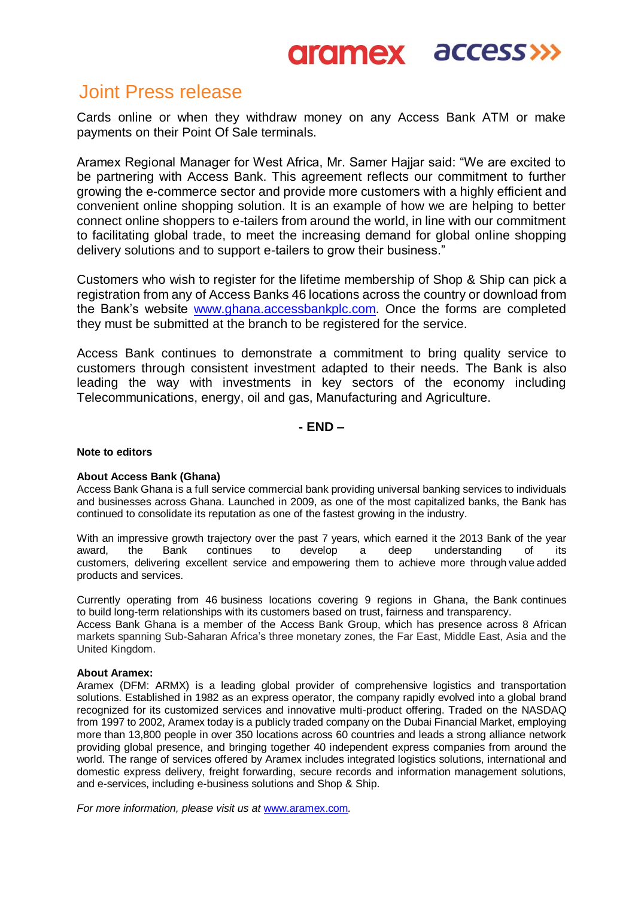## **aramex access>>>**

### Joint Press release

Cards online or when they withdraw money on any Access Bank ATM or make payments on their Point Of Sale terminals.

Aramex Regional Manager for West Africa, Mr. Samer Hajjar said: "We are excited to be partnering with Access Bank. This agreement reflects our commitment to further growing the e-commerce sector and provide more customers with a highly efficient and convenient online shopping solution. It is an example of how we are helping to better connect online shoppers to e-tailers from around the world, in line with our commitment to facilitating global trade, to meet the increasing demand for global online shopping delivery solutions and to support e-tailers to grow their business."

Customers who wish to register for the lifetime membership of Shop & Ship can pick a registration from any of Access Banks 46 locations across the country or download from the Bank's website [www.ghana.accessbankplc.com.](http://www.ghana.accessbankplc.com/) Once the forms are completed they must be submitted at the branch to be registered for the service.

Access Bank continues to demonstrate a commitment to bring quality service to customers through consistent investment adapted to their needs. The Bank is also leading the way with investments in key sectors of the economy including Telecommunications, energy, oil and gas, Manufacturing and Agriculture.

**- END –**

#### **Note to editors**

#### **About Access Bank (Ghana)**

Access Bank Ghana is a full service commercial bank providing universal banking services to individuals and businesses across Ghana. Launched in 2009, as one of the most capitalized banks, the Bank has continued to consolidate its reputation as one of the fastest growing in the industry.

With an impressive growth trajectory over the past 7 years, which earned it the 2013 Bank of the year award, the Bank continues to develop a deep understanding of its customers, delivering excellent service and empowering them to achieve more through value added products and services.

Currently operating from 46 business locations covering 9 regions in Ghana, the Bank continues to build long-term relationships with its customers based on trust, fairness and transparency.

Access Bank Ghana is a member of the Access Bank Group, which has presence across 8 African markets spanning Sub-Saharan Africa's three monetary zones, the Far East, Middle East, Asia and the United Kingdom.

#### **About Aramex:**

Aramex (DFM: ARMX) is a leading global provider of comprehensive logistics and transportation solutions. Established in 1982 as an express operator, the company rapidly evolved into a global brand recognized for its customized services and innovative multi-product offering. Traded on the NASDAQ from 1997 to 2002, Aramex today is a publicly traded company on the Dubai Financial Market, employing more than 13,800 people in over 350 locations across 60 countries and leads a strong alliance network providing global presence, and bringing together 40 independent express companies from around the world. The range of services offered by Aramex includes integrated logistics solutions, international and domestic express delivery, freight forwarding, secure records and information management solutions, and e-services, including e-business solutions and Shop & Ship.

*For more information, please visit us at* [www.aramex.com](http://www.aramex.com/)*.*